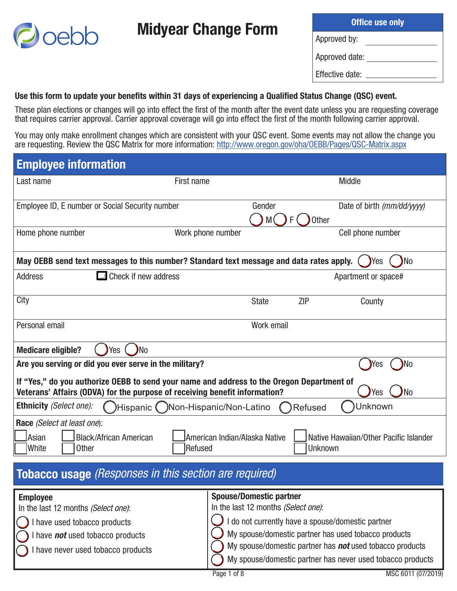| <b>Office use only</b> |  |  |  |  |
|------------------------|--|--|--|--|
| Approved by:           |  |  |  |  |
| Approved date:         |  |  |  |  |
| Effective date:        |  |  |  |  |

## Use this form to update your benefits within 31 days of experiencing a Qualified Status Change (QSC) event.

Midyear Change Form

oebb

These plan elections or changes will go into effect the first of the month after the event date unless you are requesting coverage that requires carrier approval. Carrier approval coverage will go into effect the first of the month following carrier approval.

You may only make enrollment changes which are consistent with your QSC event. Some events may not allow the change you are requesting. Review the QSC Matrix for more information: http://www.oregon.gov/oha/OEBB/Pages/QSC-Matrix.aspx

| <b>Employee information</b>                                                                                                                                                                      |                                                                                         |              |            |                                        |  |
|--------------------------------------------------------------------------------------------------------------------------------------------------------------------------------------------------|-----------------------------------------------------------------------------------------|--------------|------------|----------------------------------------|--|
| Last name                                                                                                                                                                                        | First name                                                                              |              |            | <b>Middle</b>                          |  |
| Employee ID, E number or Social Security number                                                                                                                                                  |                                                                                         | Gender<br>M( | Other<br>F | Date of birth (mm/dd/yyyy)             |  |
| Home phone number                                                                                                                                                                                | Work phone number                                                                       |              |            | Cell phone number                      |  |
|                                                                                                                                                                                                  | May OEBB send text messages to this number? Standard text message and data rates apply. |              |            | )No<br>Yes                             |  |
| <b>Address</b>                                                                                                                                                                                   | Check if new address                                                                    |              |            | Apartment or space#                    |  |
| City                                                                                                                                                                                             |                                                                                         | <b>State</b> | <b>ZIP</b> | County                                 |  |
| Personal email                                                                                                                                                                                   |                                                                                         | Work email   |            |                                        |  |
| <b>Medicare eligible?</b><br>Yes                                                                                                                                                                 | )No                                                                                     |              |            |                                        |  |
| Are you serving or did you ever serve in the military?                                                                                                                                           |                                                                                         |              |            | No<br>res                              |  |
| If "Yes," do you authorize OEBB to send your name and address to the Oregon Department of<br>N <sub>o</sub><br>Veterans' Affairs (ODVA) for the purpose of receiving benefit information?<br>Yes |                                                                                         |              |            |                                        |  |
| <b>Ethnicity (Select one):</b>                                                                                                                                                                   | Hispanic ( )Non-Hispanic/Non-Latino                                                     |              | Refused    | Unknown                                |  |
| Race (Select at least one):<br>Asian<br><b>Black/African American</b><br>White<br><b>Other</b>                                                                                                   | American Indian/Alaska Native<br>Refused                                                |              | Unknown    | Native Hawaiian/Other Pacific Islander |  |
|                                                                                                                                                                                                  | Tobacco usage (Responses in this section are required)                                  |              |            |                                        |  |

| <b>Employee</b>                                              | <b>Spouse/Domestic partner</b>                                  |
|--------------------------------------------------------------|-----------------------------------------------------------------|
| In the last 12 months (Select one):                          | In the last 12 months (Select one):                             |
| $\left(\begin{array}{c}\right)$ I have used tobacco products | I do not currently have a spouse/domestic partner               |
| $\bigcap$ I have <b>not</b> used tobacco products            | My spouse/domestic partner has used tobacco products            |
| I have never used tobacco products                           | My spouse/domestic partner has <b>not</b> used tobacco products |
|                                                              | My spouse/domestic partner has never used tobacco products      |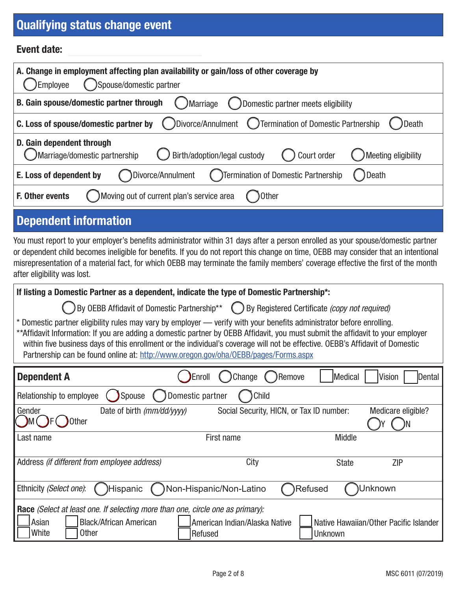## Qualifying status change event

#### Event date:

| A. Change in employment affecting plan availability or gain/loss of other coverage by<br>Employee<br>Spouse/domestic partner     |  |  |  |
|----------------------------------------------------------------------------------------------------------------------------------|--|--|--|
| B. Gain spouse/domestic partner through<br>Domestic partner meets eligibility<br>Marriage                                        |  |  |  |
| (Divorce/Annulment (Differmination of Domestic Partnership<br>C. Loss of spouse/domestic partner by<br>Death                     |  |  |  |
| D. Gain dependent through<br>Marriage/domestic partnership<br>Birth/adoption/legal custody<br>Court order<br>Meeting eligibility |  |  |  |
| Divorce/Annulment<br>( )Termination of Domestic Partnership<br>Death<br>E. Loss of dependent by                                  |  |  |  |
| Moving out of current plan's service area<br>F. Other events<br>Other                                                            |  |  |  |
| <b>Dependent information</b>                                                                                                     |  |  |  |

You must report to your employer's benefits administrator within 31 days after a person enrolled as your spouse/domestic partner or dependent child becomes ineligible for benefits. If you do not report this change on time, OEBB may consider that an intentional misrepresentation of a material fact, for which OEBB may terminate the family members' coverage effective the first of the month after eligibility was lost.

| If listing a Domestic Partner as a dependent, indicate the type of Domestic Partnership*:                                                                                                                                                                                                                                                                                                                                                                                      |                                                                                               |                                          |         |               |                    |  |
|--------------------------------------------------------------------------------------------------------------------------------------------------------------------------------------------------------------------------------------------------------------------------------------------------------------------------------------------------------------------------------------------------------------------------------------------------------------------------------|-----------------------------------------------------------------------------------------------|------------------------------------------|---------|---------------|--------------------|--|
|                                                                                                                                                                                                                                                                                                                                                                                                                                                                                | ◯ By OEBB Affidavit of Domestic Partnership** ◯ By Registered Certificate (copy not required) |                                          |         |               |                    |  |
| Domestic partner eligibility rules may vary by employer — verify with your benefits administrator before enrolling.<br>**Affidavit Information: If you are adding a domestic partner by OEBB Affidavit, you must submit the affidavit to your employer<br>within five business days of this enrollment or the individual's coverage will not be effective. OEBB's Affidavit of Domestic<br>Partnership can be found online at: http://www.oregon.gov/oha/OEBB/pages/Forms.aspx |                                                                                               |                                          |         |               |                    |  |
| <b>Dependent A</b>                                                                                                                                                                                                                                                                                                                                                                                                                                                             | Enroll                                                                                        | Change                                   | )Remove | Medical       | Vision<br>Dental   |  |
| Relationship to employee                                                                                                                                                                                                                                                                                                                                                                                                                                                       | Domestic partner<br>Child<br>Spouse                                                           |                                          |         |               |                    |  |
| Gender<br>Other                                                                                                                                                                                                                                                                                                                                                                                                                                                                | Date of birth (mm/dd/yyyy)                                                                    | Social Security, HICN, or Tax ID number: |         |               | Medicare eligible? |  |
| Last name                                                                                                                                                                                                                                                                                                                                                                                                                                                                      |                                                                                               | First name                               |         | <b>Middle</b> |                    |  |
| Address (if different from employee address)<br>City<br><b>ZIP</b><br><b>State</b>                                                                                                                                                                                                                                                                                                                                                                                             |                                                                                               |                                          |         |               |                    |  |
| Ethnicity (Select one):<br>Non-Hispanic/Non-Latino<br>Refused<br>Jnknown<br>Hispanic)                                                                                                                                                                                                                                                                                                                                                                                          |                                                                                               |                                          |         |               |                    |  |
|                                                                                                                                                                                                                                                                                                                                                                                                                                                                                |                                                                                               |                                          |         |               |                    |  |

Race *(Select at least one. If selecting more than one, circle one as primary):* Asian | Black/African American White  $\Box$  Other American Indian/Alaska Native | Rative Hawaiian/Other Pacific Islander Refused **I** Unknown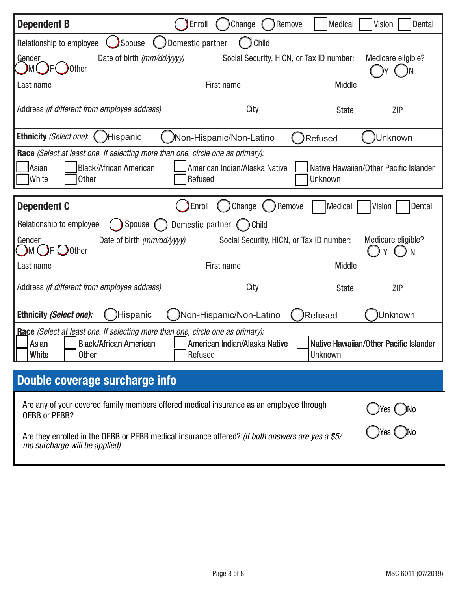| <b>Dependent B</b>                                                                                                                                       | Enroll<br>Change<br>Remove               | Dental<br><b>Medical</b><br>Vision                       |
|----------------------------------------------------------------------------------------------------------------------------------------------------------|------------------------------------------|----------------------------------------------------------|
| <b>Spouse</b><br>Relationship to employee                                                                                                                | Child<br>Domestic partner                |                                                          |
| <b>Gender</b><br>Date of birth (mm/dd/yyyy)<br><b>Other</b><br>DM (                                                                                      | Social Security, HICN, or Tax ID number: | Medicare eligible?<br>( )N                               |
| Last name                                                                                                                                                | First name                               | <b>Middle</b>                                            |
| Address (if different from employee address)                                                                                                             | City                                     | <b>ZIP</b><br><b>State</b>                               |
| Ethnicity (Select one):<br>)Hispanic                                                                                                                     | /Non-Hispanic/Non-Latino                 | Unknown<br>Refused                                       |
| Race (Select at least one. If selecting more than one, circle one as primary):<br>Asian<br><b>Black/African American</b><br>White<br><b>Other</b>        | American Indian/Alaska Native<br>Refused | Native Hawaiian/Other Pacific Islander<br>Unknown        |
| <b>Dependent C</b>                                                                                                                                       | Change<br>Remove<br>Enroll               | <b>Medical</b><br>Vision<br>Dental                       |
| Relationship to employee<br>Spouse                                                                                                                       | Domestic partner<br>Child                |                                                          |
| Gender<br>Date of birth (mm/dd/yyyy)<br>$\mathcal{M}$ ( $\mathcal{F}$ $\bigcup$ Other                                                                    | Social Security, HICN, or Tax ID number: | Medicare eligible?<br>N                                  |
| Last name                                                                                                                                                | First name                               | <b>Middle</b>                                            |
| Address (if different from employee address)                                                                                                             | City                                     | <b>State</b><br><b>ZIP</b>                               |
| <b>Ethnicity (Select one):</b><br>)Hispanic                                                                                                              | Non-Hispanic/Non-Latino                  | <b>Refused</b><br>Unknown                                |
| Race (Select at least one. If selecting more than one, circle one as primary):<br><b>Black/African American</b><br>Asian<br><b>White</b><br><b>Other</b> | American Indian/Alaska Native<br>Refused | Native Hawaiian/Other Pacific Islander<br><b>Unknown</b> |
| Double coverage surcharge info                                                                                                                           |                                          |                                                          |
| Are any of your covered family members offered medical insurance as an employee through<br>OEBB or PEBB?                                                 |                                          | )Yes (__)No                                              |
| Are they enrolled in the OEBB or PEBB medical insurance offered? (if both answers are yes a \$5/<br>mo surcharge will be applied)                        |                                          |                                                          |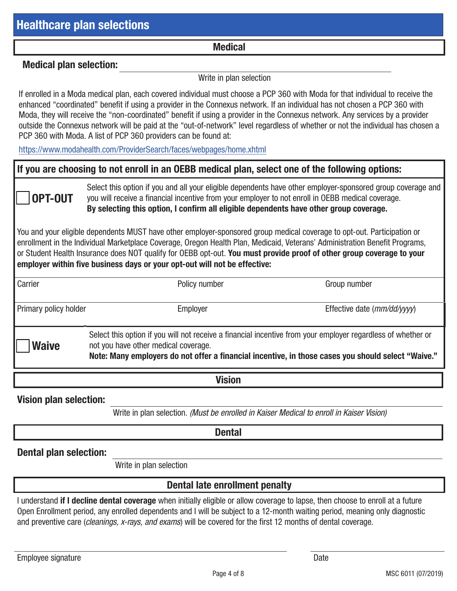#### Medical

#### Medical plan selection:

Write in plan selection

If enrolled in a Moda medical plan, each covered individual must choose a PCP 360 with Moda for that individual to receive the enhanced "coordinated" benefit if using a provider in the Connexus network. If an individual has not chosen a PCP 360 with Moda, they will receive the "non-coordinated" benefit if using a provider in the Connexus network. Any services by a provider outside the Connexus network will be paid at the "out-of-network" level regardless of whether or not the individual has chosen a PCP 360 with Moda. A list of PCP 360 providers can be found at:

https://www.modahealth.com/ProviderSearch/faces/webpages/home.xhtml

#### If you are choosing to not enroll in an OEBB medical plan, select one of the following options:



Select this option if you and all your eligible dependents have other employer-sponsored group coverage and you will receive a financial incentive from your employer to not enroll in OEBB medical coverage. By selecting this option, I confirm all eligible dependents have other group coverage.

You and your eligible dependents MUST have other employer-sponsored group medical coverage to opt-out. Participation or enrollment in the Individual Marketplace Coverage, Oregon Health Plan, Medicaid, Veterans' Administration Benefit Programs, or Student Health Insurance does NOT qualify for OEBB opt-out. You must provide proof of other group coverage to your employer within five business days or your opt-out will not be effective:

| Carrier                      | Policy number                                                                                                                                                                                                                                              | Group number                           |
|------------------------------|------------------------------------------------------------------------------------------------------------------------------------------------------------------------------------------------------------------------------------------------------------|----------------------------------------|
| <b>Primary policy holder</b> | Employer                                                                                                                                                                                                                                                   | Effective date $\frac{mm}{dd}{\gamma}$ |
| <b>Waive</b>                 | Select this option if you will not receive a financial incentive from your employer regardless of whether or<br>not you have other medical coverage.<br>Note: Many employers do not offer a financial incentive, in those cases you should select "Waive." |                                        |

Vision

Vision plan selection:

Write in plan selection. *(Must be enrolled in Kaiser Medical to enroll in Kaiser Vision)*

**Dental** 

#### Dental plan selection:

Write in plan selection

#### Dental late enrollment penalty

I understand if I decline dental coverage when initially eligible or allow coverage to lapse, then choose to enroll at a future Open Enrollment period, any enrolled dependents and I will be subject to a 12-month waiting period, meaning only diagnostic and preventive care (*cleanings, x-rays, and exams*) will be covered for the first 12 months of dental coverage.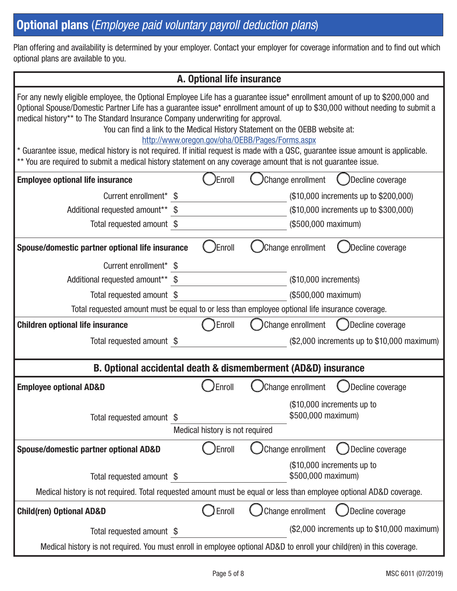# Optional plans (*Employee paid voluntary payroll deduction plans*)

Plan offering and availability is determined by your employer. Contact your employer for coverage information and to find out which optional plans are available to you.

| A. Optional life insurance                                                                                                                                                                                                                                                                                                                                                                                                                                                                                                                                                                                                                                                                                                            |                                 |                                                                                                 |  |  |  |
|---------------------------------------------------------------------------------------------------------------------------------------------------------------------------------------------------------------------------------------------------------------------------------------------------------------------------------------------------------------------------------------------------------------------------------------------------------------------------------------------------------------------------------------------------------------------------------------------------------------------------------------------------------------------------------------------------------------------------------------|---------------------------------|-------------------------------------------------------------------------------------------------|--|--|--|
| For any newly eligible employee, the Optional Employee Life has a guarantee issue* enrollment amount of up to \$200,000 and<br>Optional Spouse/Domestic Partner Life has a guarantee issue* enrollment amount of up to \$30,000 without needing to submit a<br>medical history** to The Standard Insurance Company underwriting for approval.<br>You can find a link to the Medical History Statement on the OEBB website at:<br>http://www.oregon.gov/oha/0EBB/Pages/Forms.aspx<br>* Guarantee issue, medical history is not required. If initial request is made with a QSC, guarantee issue amount is applicable.<br>** You are required to submit a medical history statement on any coverage amount that is not guarantee issue. |                                 |                                                                                                 |  |  |  |
| <b>Employee optional life insurance</b>                                                                                                                                                                                                                                                                                                                                                                                                                                                                                                                                                                                                                                                                                               | Enroll)                         | Change enrollment<br>Decline coverage                                                           |  |  |  |
| Current enrollment* \$                                                                                                                                                                                                                                                                                                                                                                                                                                                                                                                                                                                                                                                                                                                |                                 | (\$10,000 increments up to \$200,000)                                                           |  |  |  |
| Additional requested amount** \$                                                                                                                                                                                                                                                                                                                                                                                                                                                                                                                                                                                                                                                                                                      |                                 | (\$10,000 increments up to \$300,000)                                                           |  |  |  |
| Total requested amount \$                                                                                                                                                                                                                                                                                                                                                                                                                                                                                                                                                                                                                                                                                                             |                                 | (\$500,000 maximum)                                                                             |  |  |  |
| Spouse/domestic partner optional life insurance                                                                                                                                                                                                                                                                                                                                                                                                                                                                                                                                                                                                                                                                                       | Enroll)                         | Change enrollment<br>Decline coverage                                                           |  |  |  |
| Current enrollment* \$                                                                                                                                                                                                                                                                                                                                                                                                                                                                                                                                                                                                                                                                                                                |                                 |                                                                                                 |  |  |  |
| Additional requested amount** \$                                                                                                                                                                                                                                                                                                                                                                                                                                                                                                                                                                                                                                                                                                      |                                 | (\$10,000 increments)                                                                           |  |  |  |
| Total requested amount \$                                                                                                                                                                                                                                                                                                                                                                                                                                                                                                                                                                                                                                                                                                             |                                 | (\$500,000 maximum)                                                                             |  |  |  |
|                                                                                                                                                                                                                                                                                                                                                                                                                                                                                                                                                                                                                                                                                                                                       |                                 | Total requested amount must be equal to or less than employee optional life insurance coverage. |  |  |  |
| <b>Children optional life insurance</b>                                                                                                                                                                                                                                                                                                                                                                                                                                                                                                                                                                                                                                                                                               | Enroll                          | Change enrollment<br>Decline coverage                                                           |  |  |  |
| Total requested amount \$                                                                                                                                                                                                                                                                                                                                                                                                                                                                                                                                                                                                                                                                                                             |                                 | (\$2,000 increments up to \$10,000 maximum)                                                     |  |  |  |
|                                                                                                                                                                                                                                                                                                                                                                                                                                                                                                                                                                                                                                                                                                                                       |                                 | B. Optional accidental death & dismemberment (AD&D) insurance                                   |  |  |  |
| <b>Employee optional AD&amp;D</b>                                                                                                                                                                                                                                                                                                                                                                                                                                                                                                                                                                                                                                                                                                     | Enroll                          | )Change enrollment<br>Decline coverage                                                          |  |  |  |
| Total requested amount \$                                                                                                                                                                                                                                                                                                                                                                                                                                                                                                                                                                                                                                                                                                             |                                 | (\$10,000 increments up to<br>\$500,000 maximum)                                                |  |  |  |
|                                                                                                                                                                                                                                                                                                                                                                                                                                                                                                                                                                                                                                                                                                                                       | Medical history is not required |                                                                                                 |  |  |  |
| Spouse/domestic partner optional AD&D                                                                                                                                                                                                                                                                                                                                                                                                                                                                                                                                                                                                                                                                                                 | Enroll                          | Change enrollment<br>Decline coverage                                                           |  |  |  |
| Total requested amount \$                                                                                                                                                                                                                                                                                                                                                                                                                                                                                                                                                                                                                                                                                                             |                                 | (\$10,000 increments up to<br>\$500,000 maximum)                                                |  |  |  |
| Medical history is not required. Total requested amount must be equal or less than employee optional AD&D coverage.                                                                                                                                                                                                                                                                                                                                                                                                                                                                                                                                                                                                                   |                                 |                                                                                                 |  |  |  |
| <b>Child(ren) Optional AD&amp;D</b>                                                                                                                                                                                                                                                                                                                                                                                                                                                                                                                                                                                                                                                                                                   | Enroll                          | Change enrollment<br>Decline coverage                                                           |  |  |  |
| Total requested amount \$                                                                                                                                                                                                                                                                                                                                                                                                                                                                                                                                                                                                                                                                                                             |                                 | (\$2,000 increments up to \$10,000 maximum)                                                     |  |  |  |
| Medical history is not required. You must enroll in employee optional AD&D to enroll your child(ren) in this coverage.                                                                                                                                                                                                                                                                                                                                                                                                                                                                                                                                                                                                                |                                 |                                                                                                 |  |  |  |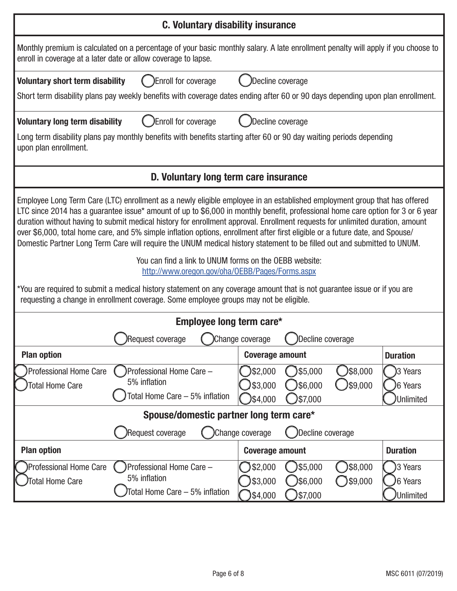|                                                                                                                                                                                                                                                                                                                                                                                                                                                                                                                                                                                                                                                                                                                                                                                                                                                                                                                                                                                             | <b>C. Voluntary disability insurance</b>                                                                                                                                                            |                        |                      |          |                      |  |
|---------------------------------------------------------------------------------------------------------------------------------------------------------------------------------------------------------------------------------------------------------------------------------------------------------------------------------------------------------------------------------------------------------------------------------------------------------------------------------------------------------------------------------------------------------------------------------------------------------------------------------------------------------------------------------------------------------------------------------------------------------------------------------------------------------------------------------------------------------------------------------------------------------------------------------------------------------------------------------------------|-----------------------------------------------------------------------------------------------------------------------------------------------------------------------------------------------------|------------------------|----------------------|----------|----------------------|--|
|                                                                                                                                                                                                                                                                                                                                                                                                                                                                                                                                                                                                                                                                                                                                                                                                                                                                                                                                                                                             | Monthly premium is calculated on a percentage of your basic monthly salary. A late enrollment penalty will apply if you choose to<br>enroll in coverage at a later date or allow coverage to lapse. |                        |                      |          |                      |  |
| <b>Voluntary short term disability</b>                                                                                                                                                                                                                                                                                                                                                                                                                                                                                                                                                                                                                                                                                                                                                                                                                                                                                                                                                      | Enroll for coverage                                                                                                                                                                                 | Decline coverage       |                      |          |                      |  |
|                                                                                                                                                                                                                                                                                                                                                                                                                                                                                                                                                                                                                                                                                                                                                                                                                                                                                                                                                                                             | Short term disability plans pay weekly benefits with coverage dates ending after 60 or 90 days depending upon plan enrollment.                                                                      |                        |                      |          |                      |  |
| <b>Voluntary long term disability</b>                                                                                                                                                                                                                                                                                                                                                                                                                                                                                                                                                                                                                                                                                                                                                                                                                                                                                                                                                       | Enroll for coverage                                                                                                                                                                                 |                        | Decline coverage     |          |                      |  |
| upon plan enrollment.                                                                                                                                                                                                                                                                                                                                                                                                                                                                                                                                                                                                                                                                                                                                                                                                                                                                                                                                                                       | Long term disability plans pay monthly benefits with benefits starting after 60 or 90 day waiting periods depending                                                                                 |                        |                      |          |                      |  |
|                                                                                                                                                                                                                                                                                                                                                                                                                                                                                                                                                                                                                                                                                                                                                                                                                                                                                                                                                                                             | D. Voluntary long term care insurance                                                                                                                                                               |                        |                      |          |                      |  |
| Employee Long Term Care (LTC) enrollment as a newly eligible employee in an established employment group that has offered<br>LTC since 2014 has a guarantee issue* amount of up to \$6,000 in monthly benefit, professional home care option for 3 or 6 year<br>duration without having to submit medical history for enrollment approval. Enrollment requests for unlimited duration, amount<br>over \$6,000, total home care, and 5% simple inflation options, enrollment after first eligible or a future date, and Spouse/<br>Domestic Partner Long Term Care will require the UNUM medical history statement to be filled out and submitted to UNUM.<br>You can find a link to UNUM forms on the OEBB website:<br>http://www.oregon.gov/oha/0EBB/Pages/Forms.aspx<br>*You are required to submit a medical history statement on any coverage amount that is not guarantee issue or if you are<br>requesting a change in enrollment coverage. Some employee groups may not be eligible. |                                                                                                                                                                                                     |                        |                      |          |                      |  |
|                                                                                                                                                                                                                                                                                                                                                                                                                                                                                                                                                                                                                                                                                                                                                                                                                                                                                                                                                                                             | Employee long term care*                                                                                                                                                                            |                        |                      |          |                      |  |
|                                                                                                                                                                                                                                                                                                                                                                                                                                                                                                                                                                                                                                                                                                                                                                                                                                                                                                                                                                                             | Request coverage                                                                                                                                                                                    | Change coverage        | Decline coverage     |          |                      |  |
| <b>Plan option</b>                                                                                                                                                                                                                                                                                                                                                                                                                                                                                                                                                                                                                                                                                                                                                                                                                                                                                                                                                                          |                                                                                                                                                                                                     | <b>Coverage amount</b> |                      |          | <b>Duration</b>      |  |
| <b>Professional Home Care</b>                                                                                                                                                                                                                                                                                                                                                                                                                                                                                                                                                                                                                                                                                                                                                                                                                                                                                                                                                               | Professional Home Care -<br>5% inflation                                                                                                                                                            | )\$2,000               | \$5,000              | )\$8,000 | 3 Years              |  |
| <b>Total Home Care</b>                                                                                                                                                                                                                                                                                                                                                                                                                                                                                                                                                                                                                                                                                                                                                                                                                                                                                                                                                                      | Total Home Care - 5% inflation                                                                                                                                                                      | \$3,000<br>)\$4,000    | )\$6,000<br>)\$7,000 | )\$9,000 | 6 Years<br>Unlimited |  |
| Spouse/domestic partner long term care*                                                                                                                                                                                                                                                                                                                                                                                                                                                                                                                                                                                                                                                                                                                                                                                                                                                                                                                                                     |                                                                                                                                                                                                     |                        |                      |          |                      |  |
| Decline coverage<br>)Request coverage<br>Change coverage                                                                                                                                                                                                                                                                                                                                                                                                                                                                                                                                                                                                                                                                                                                                                                                                                                                                                                                                    |                                                                                                                                                                                                     |                        |                      |          |                      |  |
| <b>Plan option</b>                                                                                                                                                                                                                                                                                                                                                                                                                                                                                                                                                                                                                                                                                                                                                                                                                                                                                                                                                                          |                                                                                                                                                                                                     | <b>Coverage amount</b> |                      |          | <b>Duration</b>      |  |
| Professional Home Care                                                                                                                                                                                                                                                                                                                                                                                                                                                                                                                                                                                                                                                                                                                                                                                                                                                                                                                                                                      | Professional Home Care -                                                                                                                                                                            | \$2,000                | )\$5,000             | )\$8,000 | 3 Years              |  |
| <b>Total Home Care</b>                                                                                                                                                                                                                                                                                                                                                                                                                                                                                                                                                                                                                                                                                                                                                                                                                                                                                                                                                                      | 5% inflation                                                                                                                                                                                        | \$3,000                | )\$6,000             | \$9,000  | 6 Years              |  |
|                                                                                                                                                                                                                                                                                                                                                                                                                                                                                                                                                                                                                                                                                                                                                                                                                                                                                                                                                                                             | Total Home Care - 5% inflation                                                                                                                                                                      | \$4,000                | \$7,000              |          | <b>Unlimited</b>     |  |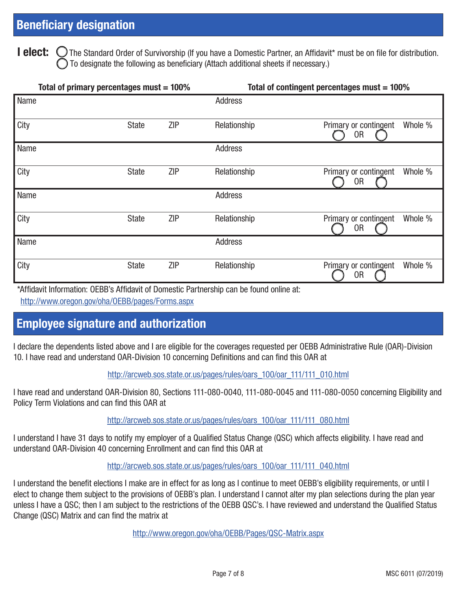**I elect:** O The Standard Order of Survivorship (If you have a Domestic Partner, an Affidavit\* must be on file for distribution. To designate the following as beneficiary (Attach additional sheets if necessary.)

| Total of primary percentages must $= 100\%$ |              |            | Total of contingent percentages must = 100% |                                                    |  |  |
|---------------------------------------------|--------------|------------|---------------------------------------------|----------------------------------------------------|--|--|
| Name                                        |              |            | <b>Address</b>                              |                                                    |  |  |
| City                                        | <b>State</b> | <b>ZIP</b> | Relationship                                | Primary or contingent<br>Whole %<br>0 <sub>R</sub> |  |  |
| Name                                        |              |            | <b>Address</b>                              |                                                    |  |  |
| City                                        | <b>State</b> | <b>ZIP</b> | Relationship                                | Whole %<br>Primary or contingent<br>0R             |  |  |
| Name                                        |              |            | <b>Address</b>                              |                                                    |  |  |
| City                                        | <b>State</b> | <b>ZIP</b> | Relationship                                | Primary or contingent<br>Whole %<br>0R             |  |  |
| Name                                        |              |            | <b>Address</b>                              |                                                    |  |  |
| City                                        | <b>State</b> | <b>ZIP</b> | Relationship                                | Whole %<br>Primary or contingent<br>0R             |  |  |

\*Affidavit Information: OEBB's Affidavit of Domestic Partnership can be found online at:

http://www.oregon.gov/oha/OEBB/pages/Forms.aspx

## Employee signature and authorization

I declare the dependents listed above and I are eligible for the coverages requested per OEBB Administrative Rule (OAR)-Division 10. I have read and understand OAR-Division 10 concerning Definitions and can find this OAR at

#### http://arcweb.sos.state.or.us/pages/rules/oars\_100/oar\_111/111\_010.html

I have read and understand OAR-Division 80, Sections 111-080-0040, 111-080-0045 and 111-080-0050 concerning Eligibility and Policy Term Violations and can find this OAR at

## http://arcweb.sos.state.or.us/pages/rules/oars\_100/oar\_111/111\_080.html

I understand I have 31 days to notify my employer of a Qualified Status Change (QSC) which affects eligibility. I have read and understand OAR-Division 40 concerning Enrollment and can find this OAR at

#### http://arcweb.sos.state.or.us/pages/rules/oars\_100/oar\_111/111\_040.html

I understand the benefit elections I make are in effect for as long as I continue to meet OEBB's eligibility requirements, or until I elect to change them subject to the provisions of OEBB's plan. I understand I cannot alter my plan selections during the plan year unless I have a QSC; then I am subject to the restrictions of the OEBB QSC's. I have reviewed and understand the Qualified Status Change (QSC) Matrix and can find the matrix at

http://www.oregon.gov/oha/OEBB/Pages/QSC-Matrix.aspx